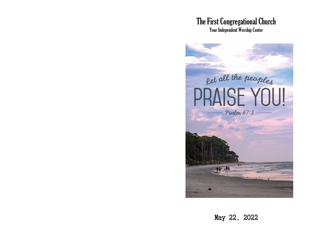# The First Congregational Church

Your Independent Worship Center



May 22, 2022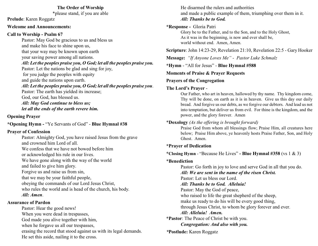#### **The Order of Worship**

\*please stand, if you are able

**Prelude**: Karen Roggatz

#### **Welcome and Announcements:**

### **Call to Worship - Psalm 67**

Pastor: May God be gracious to us and bless us and make his face to shine upon us, that your way may be known upon earth your saving power among all nations. *All: Let the peoples praise you, O God; let all the peoples praise you.* Pastor: Let the nations be glad and sing for joy, for you judge the peoples with equity and guide the nations upon earth. *All: Let the peoples praise you, O God; let all the peoples praise you*. Pastor: The earth has yielded its increase; God, our God, has blessed us. *All: May God continue to bless us; let all the ends of the earth revere him.*

### **Opening Prayer**

**\*Opening Hymn -** "Ye Servants of God" - **Blue Hymnal #38**

# **Prayer of Confession**

Pastor: Almighty God, you have raised Jesus from the grave and crowned him Lord of all. We confess that we have not bowed before him or acknowledged his rule in our lives. We have gone along with the way of the world and failed to give him glory. Forgive us and raise us from sin, that we may be your faithful people, obeying the commands of our Lord Jesus Christ, who rules the world and is head of the church, his body. *All: Amen*.

### **Assurance of Pardon**

Pastor: Hear the good news! When you were dead in trespasses, God made you alive together with him, when he forgave us all our trespasses, erasing the record that stood against us with its legal demands. He set this aside, nailing it to the cross.

He disarmed the rulers and authorities and made a public example of them, triumphing over them in it. *All: Thanks be to God.*

# **\*Response -** Gloria Patri

Glory be to the Father, and to the Son, and to the Holy Ghost, As it was in the beginning, is now and ever shall be, world without end. Amen, Amen.

**Scripture**: John 14:23-29, Revelation 21:10, Revelation 22:5 - Gary Hooker

**Message:** *"If Anyone Loves Me" - Pastor Luke Schmalz*

**\*Hymn** - "All for Jesus" - **Blue Hymnal #588**

**Moments of Praise & Prayer Requests**

# **Prayers of the Congregation**

# **The Lord's Prayer** -

Our Father, who art in heaven, hallowed by thy name. Thy kingdom come, Thy will be done, on earth as it is in heaven. Give us this day our daily bread. And forgive us our debts, as we forgive our debtors. And lead us not into temptation, but deliver us from evil. For thine is the kingdom, and the power, and the glory forever. Amen

# \***Doxology** *(As the offering is brought forward)*

Praise God from whom all blessings flow; Praise Him, all creatures here below; Praise Him above, ye heavenly hosts Praise Father, Son, and Holy Ghost. Amen.

# **\*Prayer of Dedication**

**\*Closing Hymn** - "Because He Lives" **- Blue Hymnal #358** (vs 1 & 3)

## \***Benediction**

Pastor: Go forth in joy to love and serve God in all that you do. *All: We are sent in the name of the risen Christ.* Pastor: Let us bless our Lord. *All: Thanks be to God. Alleluia!* Pastor: May the God of peace, who raised to life the great shepherd of the sheep, make us ready to do his will be every good thing, through Jesus Christ, to whom be glory forever and ever. *All: Alleluia! Amen.* **\*Pastor**: The Peace of Christ be with you. *Congregation: And also with you. \****Postlude:** Karen Roggatz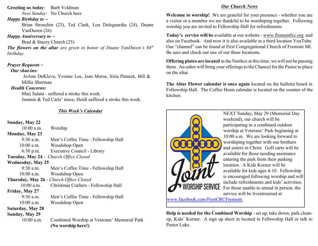#### **Greeting us today**: Barb Veldman

*Next Sunday*: No Church here

#### *Happy Birthday to ~*

Brian Stroschin (23), Ted Clark, Lou Deleguardia (24), Duane VanDuzen (26)

#### *Happy Anniversary to ~*

Brad & Stacey Church (25)

*The flowers on the altar are given in honor of Duane VanDuzen's 94th birthday.* 

#### *Prayer Requests ~*

#### *Our shut-ins:*

JoAnn DeKleva, Yvonne Lee, Jean Morse, Siria Pinnick, Bill & Millie Sherman

#### *Health Concerns:*

Marj Salata - suffered a stroke this week. Jeannie & Ted Caris' niece, Heidi suffered a stroke this week.

### *This Week's Calendar*

#### **Sunday, May 22**

| $\omega$ unuu ya Iviu ya 22 |                                             |  |  |
|-----------------------------|---------------------------------------------|--|--|
| $10:00$ a.m.                | Worship                                     |  |  |
| <b>Monday, May 23</b>       |                                             |  |  |
| $9:30$ a.m.                 | Men's Coffee Time - Fellowship Hall         |  |  |
| $10:00$ a.m.                | Woodshop Open                               |  |  |
| $6:30$ p.m.                 | Executive Council - Library                 |  |  |
|                             | Tuesday, May 24 - Church Office Closed      |  |  |
| <b>Wednesday, May 25</b>    |                                             |  |  |
| $9:30$ a.m.                 | Men's Coffee Time - Fellowship Hall         |  |  |
| $10:00$ a.m.                | Woodshop Open                               |  |  |
|                             | Thursday, May 26 - Church Office Closed     |  |  |
| $10:00$ a.m.                | Christmas Crafters - Fellowship Hall        |  |  |
| Friday, May 27              |                                             |  |  |
| $9:30$ a.m.                 | Men's Coffee Time - Fellowship Hall         |  |  |
| 10:00 a.m.                  | Woodshop Open                               |  |  |
| Saturday, May 28            |                                             |  |  |
| Sunday, May 29              |                                             |  |  |
| 10:00 a.m.                  | Combined Worship at Veterans' Memorial Park |  |  |
|                             | (No worship here!)                          |  |  |
|                             |                                             |  |  |

#### *Our Church News*

**Welcome to worship!** We are grateful for your presence - whether you are a visitor or a member we are thankful to be worshiping together. Following worship you are invited to Fellowship Hall for refreshments.

**Today's service will be** available at our website - [www.fremontfcc.org](http://www.fremontfcc.org) and also on Facebook. And now it is also available in a third location YouTube. Our "channel" can be found at First Congregational Church of Fremont MI. Be sure and check out one of our three locations.

**Offering plates are located** in the Narthex at this time, we will not be passing them. An usher will bring your offerings to the Chancel for the Pastor to place on the altar.

**The Altar Flower calendar is once again** located on the bulletin board in Fellowship Hall. The Coffee Hosts calendar is located on the counter of the kitchen.



NEXT Sunday, May 29 (Memorial Day weekend), our church will be participating in a combined outdoor worship at Veterans' Park beginning at 10:00 a.m. We are looking forward to worshiping together with our brothers and sisters in Christ. Golf carts will be available for those needing assistance entering the park from their parking location. A Kids Korner will be available for kids ages 4-10. Fellowship is encouraged following worship and will include refreshments and kids' activities. For those unable to attend in person, the service will be livestreamed at

[www.facebook.com/FirstCRCFremont.](http://www.facebook.com/FirstCRCFremont.)

**Help is needed for the Combined Worship** - set up, take down, park cleanup, Kids' Korner. A sign up sheet in located in Fellowship Hall or talk to Pastor Luke.